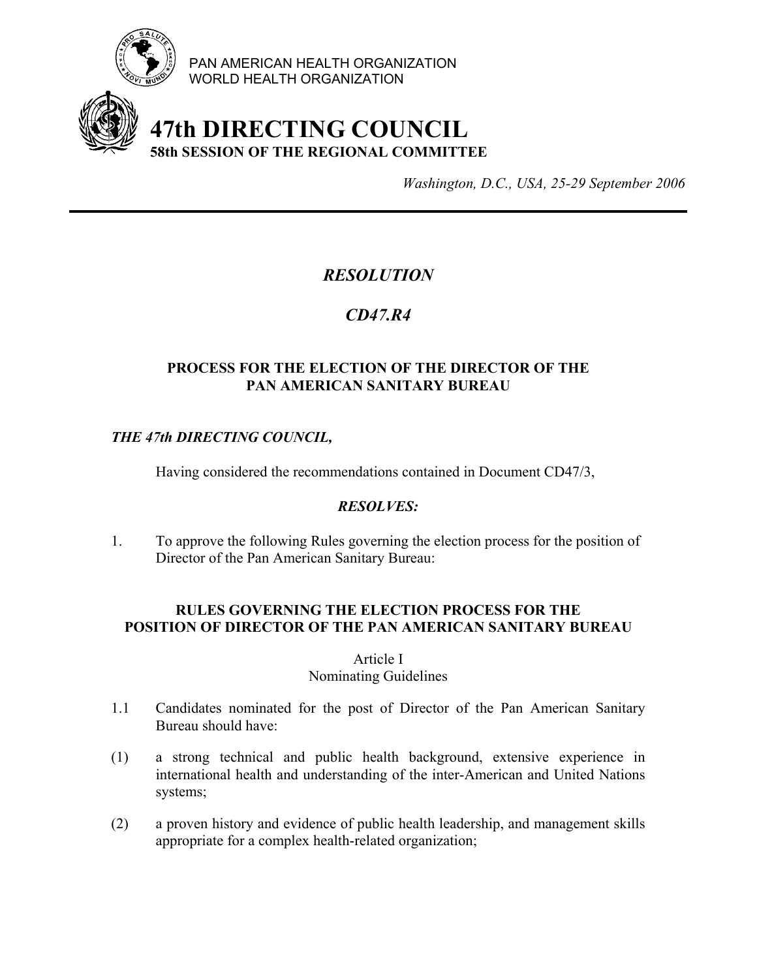

PAN AMERICAN HEALTH ORGANIZATION WORLD HEALTH ORGANIZATION

# **47th DIRECTING COUNCIL 58th SESSION OF THE REGIONAL COMMITTEE**

*Washington, D.C., USA, 25-29 September 2006*

## *RESOLUTION*

## *CD47.R4*

#### **PROCESS FOR THE ELECTION OF THE DIRECTOR OF THE PAN AMERICAN SANITARY BUREAU**

#### *THE 47th DIRECTING COUNCIL,*

Having considered the recommendations contained in Document CD47/3,

#### *RESOLVES:*

1. To approve the following Rules governing the election process for the position of Director of the Pan American Sanitary Bureau:

#### **RULES GOVERNING THE ELECTION PROCESS FOR THE POSITION OF DIRECTOR OF THE PAN AMERICAN SANITARY BUREAU**

#### Article I

#### Nominating Guidelines

- 1.1 Candidates nominated for the post of Director of the Pan American Sanitary Bureau should have:
- (1) a strong technical and public health background, extensive experience in international health and understanding of the inter-American and United Nations systems;
- (2) a proven history and evidence of public health leadership, and management skills appropriate for a complex health-related organization;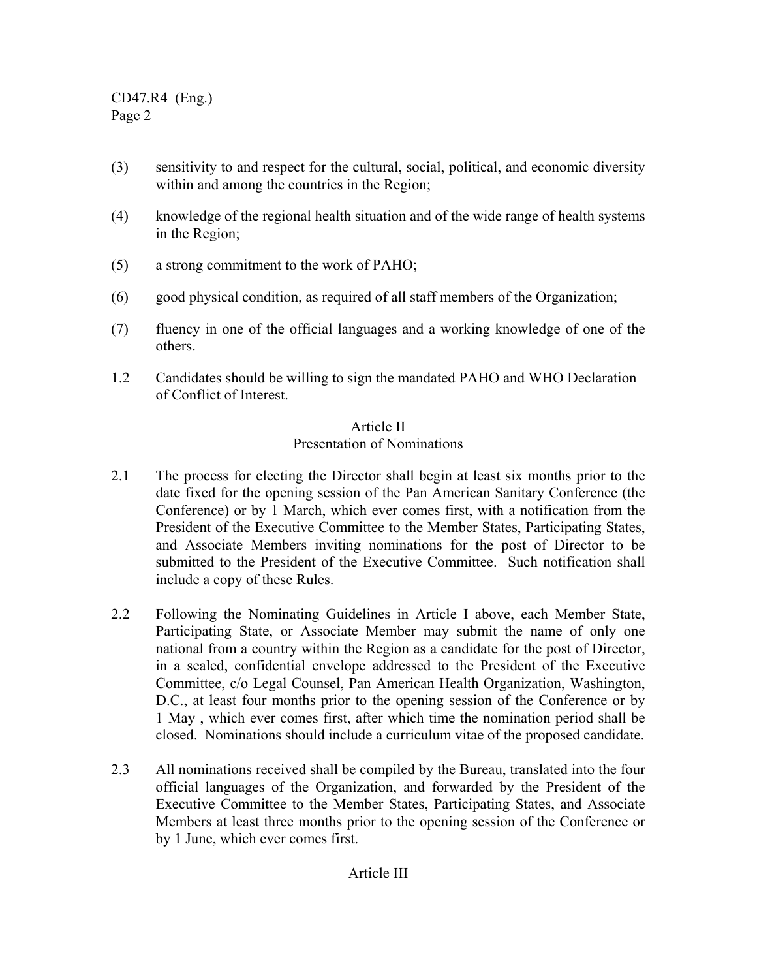CD47.R4 (Eng.) Page 2

- (3) sensitivity to and respect for the cultural, social, political, and economic diversity within and among the countries in the Region;
- (4) knowledge of the regional health situation and of the wide range of health systems in the Region;
- (5) a strong commitment to the work of PAHO;
- (6) good physical condition, as required of all staff members of the Organization;
- (7) fluency in one of the official languages and a working knowledge of one of the others.
- 1.2 Candidates should be willing to sign the mandated PAHO and WHO Declaration of Conflict of Interest.

#### Article II Presentation of Nominations

- 2.1 The process for electing the Director shall begin at least six months prior to the date fixed for the opening session of the Pan American Sanitary Conference (the Conference) or by 1 March, which ever comes first, with a notification from the President of the Executive Committee to the Member States, Participating States, and Associate Members inviting nominations for the post of Director to be submitted to the President of the Executive Committee. Such notification shall include a copy of these Rules.
- 2.2 Following the Nominating Guidelines in Article I above, each Member State, Participating State, or Associate Member may submit the name of only one national from a country within the Region as a candidate for the post of Director, in a sealed, confidential envelope addressed to the President of the Executive Committee, c/o Legal Counsel, Pan American Health Organization, Washington, D.C., at least four months prior to the opening session of the Conference or by 1 May , which ever comes first, after which time the nomination period shall be closed. Nominations should include a curriculum vitae of the proposed candidate.
- 2.3 All nominations received shall be compiled by the Bureau, translated into the four official languages of the Organization, and forwarded by the President of the Executive Committee to the Member States, Participating States, and Associate Members at least three months prior to the opening session of the Conference or by 1 June, which ever comes first.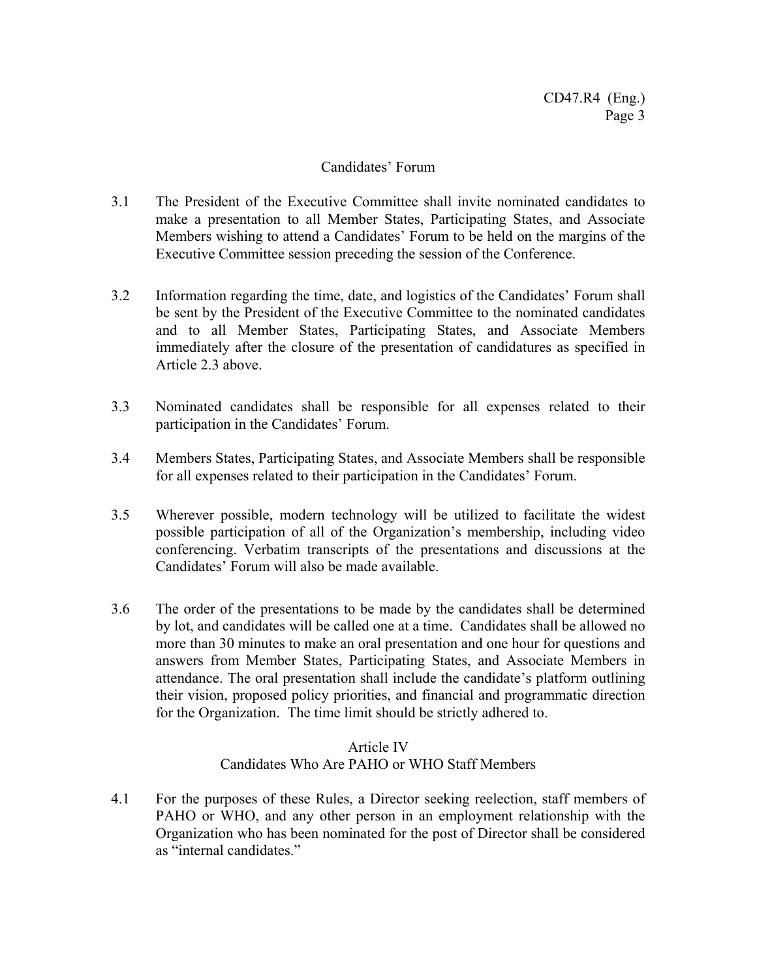#### Candidates' Forum

- 3.1 The President of the Executive Committee shall invite nominated candidates to make a presentation to all Member States, Participating States, and Associate Members wishing to attend a Candidates' Forum to be held on the margins of the Executive Committee session preceding the session of the Conference.
- 3.2 Information regarding the time, date, and logistics of the Candidates' Forum shall be sent by the President of the Executive Committee to the nominated candidates and to all Member States, Participating States, and Associate Members immediately after the closure of the presentation of candidatures as specified in Article 2.3 above.
- 3.3 Nominated candidates shall be responsible for all expenses related to their participation in the Candidates' Forum.
- 3.4 Members States, Participating States, and Associate Members shall be responsible for all expenses related to their participation in the Candidates' Forum.
- 3.5 Wherever possible, modern technology will be utilized to facilitate the widest possible participation of all of the Organization's membership, including video conferencing. Verbatim transcripts of the presentations and discussions at the Candidates' Forum will also be made available.
- 3.6 The order of the presentations to be made by the candidates shall be determined by lot, and candidates will be called one at a time. Candidates shall be allowed no more than 30 minutes to make an oral presentation and one hour for questions and answers from Member States, Participating States, and Associate Members in attendance. The oral presentation shall include the candidate's platform outlining their vision, proposed policy priorities, and financial and programmatic direction for the Organization. The time limit should be strictly adhered to.

#### Article IV Candidates Who Are PAHO or WHO Staff Members

4.1 For the purposes of these Rules, a Director seeking reelection, staff members of PAHO or WHO, and any other person in an employment relationship with the Organization who has been nominated for the post of Director shall be considered as "internal candidates."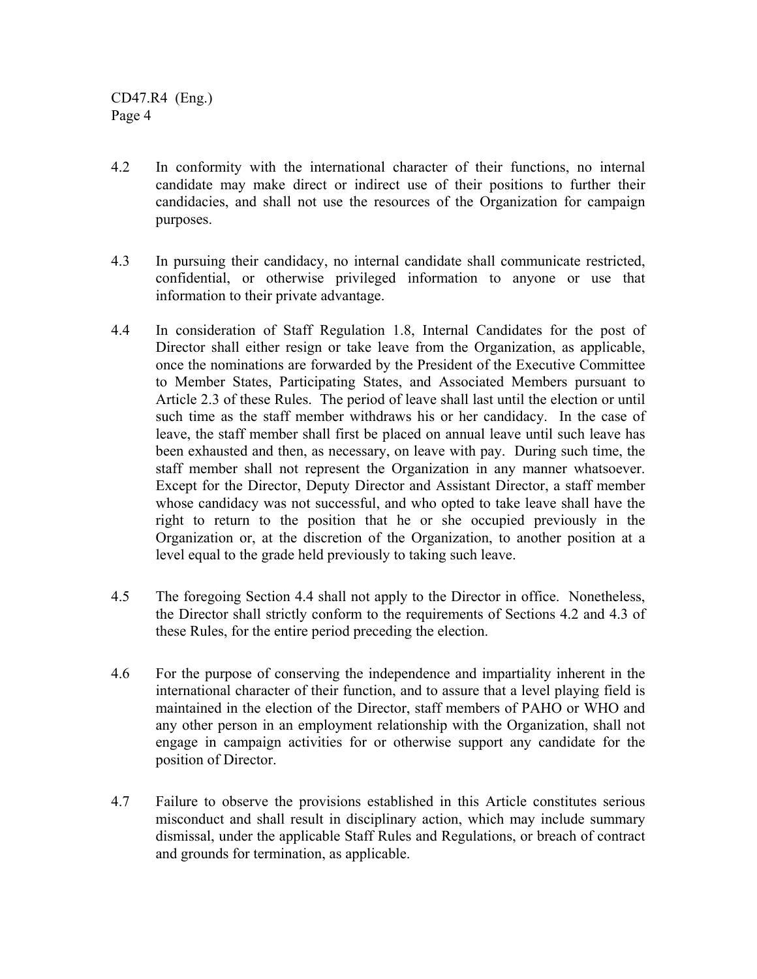CD47.R4 (Eng.) Page 4

- 4.2 In conformity with the international character of their functions, no internal candidate may make direct or indirect use of their positions to further their candidacies, and shall not use the resources of the Organization for campaign purposes.
- 4.3 In pursuing their candidacy, no internal candidate shall communicate restricted, confidential, or otherwise privileged information to anyone or use that information to their private advantage.
- 4.4 In consideration of Staff Regulation 1.8, Internal Candidates for the post of Director shall either resign or take leave from the Organization, as applicable, once the nominations are forwarded by the President of the Executive Committee to Member States, Participating States, and Associated Members pursuant to Article 2.3 of these Rules. The period of leave shall last until the election or until such time as the staff member withdraws his or her candidacy. In the case of leave, the staff member shall first be placed on annual leave until such leave has been exhausted and then, as necessary, on leave with pay. During such time, the staff member shall not represent the Organization in any manner whatsoever. Except for the Director, Deputy Director and Assistant Director, a staff member whose candidacy was not successful, and who opted to take leave shall have the right to return to the position that he or she occupied previously in the Organization or, at the discretion of the Organization, to another position at a level equal to the grade held previously to taking such leave.
- 4.5 The foregoing Section 4.4 shall not apply to the Director in office. Nonetheless, the Director shall strictly conform to the requirements of Sections 4.2 and 4.3 of these Rules, for the entire period preceding the election.
- 4.6 For the purpose of conserving the independence and impartiality inherent in the international character of their function, and to assure that a level playing field is maintained in the election of the Director, staff members of PAHO or WHO and any other person in an employment relationship with the Organization, shall not engage in campaign activities for or otherwise support any candidate for the position of Director.
- 4.7 Failure to observe the provisions established in this Article constitutes serious misconduct and shall result in disciplinary action, which may include summary dismissal, under the applicable Staff Rules and Regulations, or breach of contract and grounds for termination, as applicable.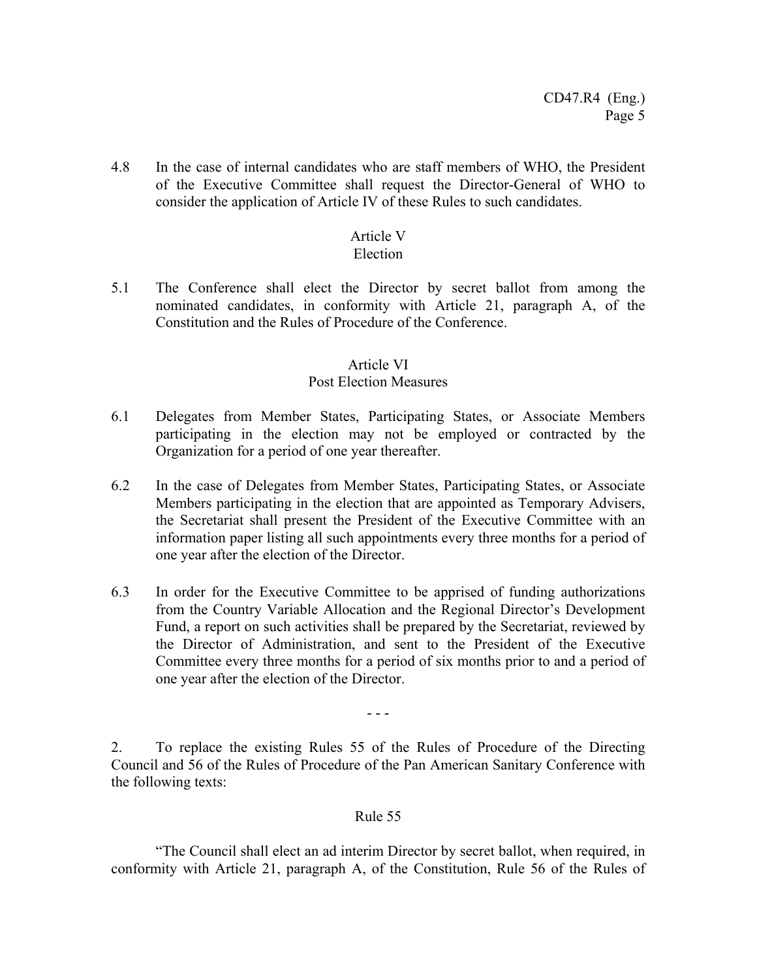4.8 In the case of internal candidates who are staff members of WHO, the President of the Executive Committee shall request the Director-General of WHO to consider the application of Article IV of these Rules to such candidates.

## Article V

#### Election

5.1 The Conference shall elect the Director by secret ballot from among the nominated candidates, in conformity with Article 21, paragraph A, of the Constitution and the Rules of Procedure of the Conference.

### Article VI

### Post Election Measures

- 6.1 Delegates from Member States, Participating States, or Associate Members participating in the election may not be employed or contracted by the Organization for a period of one year thereafter.
- 6.2 In the case of Delegates from Member States, Participating States, or Associate Members participating in the election that are appointed as Temporary Advisers, the Secretariat shall present the President of the Executive Committee with an information paper listing all such appointments every three months for a period of one year after the election of the Director.
- 6.3 In order for the Executive Committee to be apprised of funding authorizations from the Country Variable Allocation and the Regional Director's Development Fund, a report on such activities shall be prepared by the Secretariat, reviewed by the Director of Administration, and sent to the President of the Executive Committee every three months for a period of six months prior to and a period of one year after the election of the Director.

- - -

2. To replace the existing Rules 55 of the Rules of Procedure of the Directing Council and 56 of the Rules of Procedure of the Pan American Sanitary Conference with the following texts:

#### Rule 55

 "The Council shall elect an ad interim Director by secret ballot, when required, in conformity with Article 21, paragraph A, of the Constitution, Rule 56 of the Rules of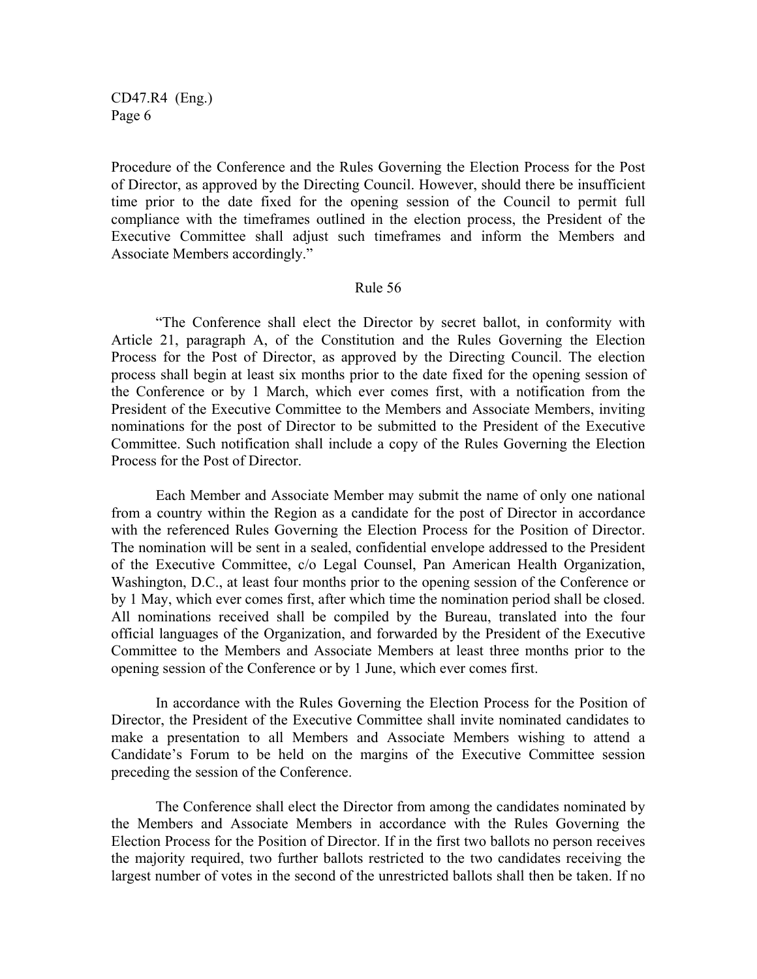CD47.R4 (Eng.) Page 6

Procedure of the Conference and the Rules Governing the Election Process for the Post of Director, as approved by the Directing Council. However, should there be insufficient time prior to the date fixed for the opening session of the Council to permit full compliance with the timeframes outlined in the election process, the President of the Executive Committee shall adjust such timeframes and inform the Members and Associate Members accordingly."

#### Rule 56

"The Conference shall elect the Director by secret ballot, in conformity with Article 21, paragraph A, of the Constitution and the Rules Governing the Election Process for the Post of Director, as approved by the Directing Council. The election process shall begin at least six months prior to the date fixed for the opening session of the Conference or by 1 March, which ever comes first, with a notification from the President of the Executive Committee to the Members and Associate Members, inviting nominations for the post of Director to be submitted to the President of the Executive Committee. Such notification shall include a copy of the Rules Governing the Election Process for the Post of Director.

Each Member and Associate Member may submit the name of only one national from a country within the Region as a candidate for the post of Director in accordance with the referenced Rules Governing the Election Process for the Position of Director. The nomination will be sent in a sealed, confidential envelope addressed to the President of the Executive Committee, c/o Legal Counsel, Pan American Health Organization, Washington, D.C., at least four months prior to the opening session of the Conference or by 1 May, which ever comes first, after which time the nomination period shall be closed. All nominations received shall be compiled by the Bureau, translated into the four official languages of the Organization, and forwarded by the President of the Executive Committee to the Members and Associate Members at least three months prior to the opening session of the Conference or by 1 June, which ever comes first.

In accordance with the Rules Governing the Election Process for the Position of Director, the President of the Executive Committee shall invite nominated candidates to make a presentation to all Members and Associate Members wishing to attend a Candidate's Forum to be held on the margins of the Executive Committee session preceding the session of the Conference.

The Conference shall elect the Director from among the candidates nominated by the Members and Associate Members in accordance with the Rules Governing the Election Process for the Position of Director. If in the first two ballots no person receives the majority required, two further ballots restricted to the two candidates receiving the largest number of votes in the second of the unrestricted ballots shall then be taken. If no